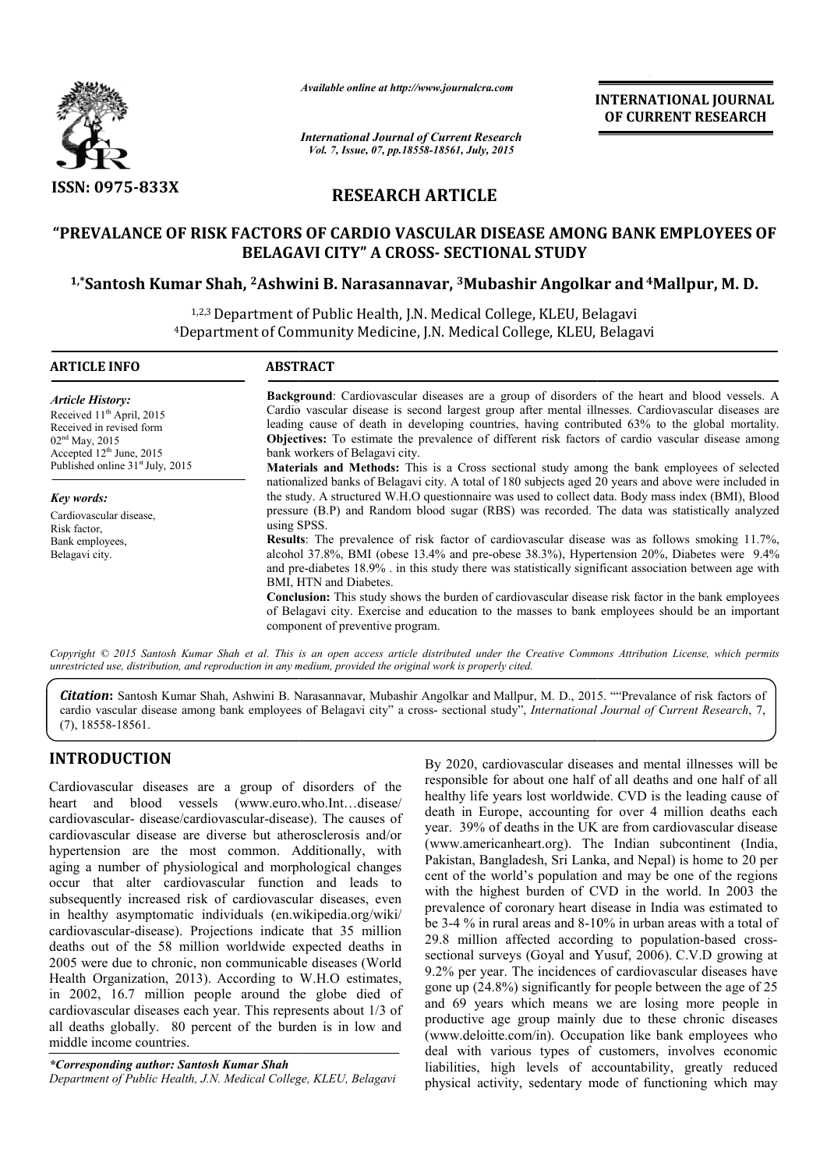

*Available online at http://www.journalcra.com*

*International Journal of Current Research Vol. 7, Issue, 07, pp.18558-18561, July, 2015*

**INTERNATIONAL INTERNATIONAL JOURNAL OF CURRENT RESEARCH** 

# **RESEARCH ARTICLE**

## **"PREVALANCE OF RISK FACTORS OF CARDIO VASCULAR DISEASE AMONG BANK EMPLOYEES OF BELAGAVI CITY" A CROSS CROSS- SECTIONAL STUDY**

## **1,\*Santosh Kumar Shah, 2Ashwini B. Narasannavar, Ashwini 3Mubashir Angolkar Mubashir and4Mallpur, M. D.**

<sup>1,2,3</sup> Department of Public Health, J.N. Medical College, KLEU, Belagavi 4Department of Community Medicine, J.N. Medical College, KLEU, Belagavi Department

| <b>ARTICLE INFO</b>                                                                                                                            | <b>ABSTRACT</b>                                                                                                                                                                                                                                                                                                                                                                                                                                               |
|------------------------------------------------------------------------------------------------------------------------------------------------|---------------------------------------------------------------------------------------------------------------------------------------------------------------------------------------------------------------------------------------------------------------------------------------------------------------------------------------------------------------------------------------------------------------------------------------------------------------|
| <b>Article History:</b><br>Received 11 <sup>th</sup> April, 2015<br>Received in revised form<br>$02nd$ May, 2015<br>Accepted $12th$ June, 2015 | <b>Background:</b> Cardiovascular diseases are a group of disorders of the heart and blood vessels. A<br>Cardio vascular disease is second largest group after mental illnesses. Cardiovascular diseases are<br>leading cause of death in developing countries, having contributed 63% to the global mortality.<br><b>Objectives:</b> To estimate the prevalence of different risk factors of cardio vascular disease among<br>bank workers of Belagavi city. |
| Published online $31st$ July, 2015                                                                                                             | <b>Materials and Methods:</b> This is a Cross sectional study among the bank employees of selected<br>nationalized banks of Belagavi city. A total of 180 subjects aged 20 years and above were included in                                                                                                                                                                                                                                                   |
| Key words:                                                                                                                                     | the study. A structured W.H.O questionnaire was used to collect data. Body mass index (BMI), Blood                                                                                                                                                                                                                                                                                                                                                            |
| Cardiovascular disease,<br>Risk factor,                                                                                                        | pressure (B.P) and Random blood sugar (RBS) was recorded. The data was statistically analyzed<br>using SPSS.                                                                                                                                                                                                                                                                                                                                                  |
| Bank employees,<br>Belagavi city.                                                                                                              | <b>Results</b> : The prevalence of risk factor of cardiovascular disease was as follows smoking 11.7%,<br>alcohol 37.8%, BMI (obese 13.4% and pre-obese 38.3%), Hypertension 20%, Diabetes were 9.4%<br>and pre-diabetes 18.9% in this study there was statistically significant association between age with<br>BMI, HTN and Diabetes.                                                                                                                       |
|                                                                                                                                                | <b>Conclusion:</b> This study shows the burden of cardiovascular disease risk factor in the bank employees<br>of Belagavi city. Exercise and education to the masses to bank employees should be an important<br>component of preventive program.                                                                                                                                                                                                             |

Copyright © 2015 Santosh Kumar Shah et al. This is an open access article distributed under the Creative Commons Attribution License, which permits *unrestricted use, distribution, and reproduction in any medium, provided the original work is properly cited.*

*Citation***:** Santosh Kumar Shah, Ashwini B. Narasannavar, Mubashir Angolkar and Mallpur, M. D., 2015. ""Prevalance of risk factors of **Citation:** Santosh Kumar Shah, Ashwini B. Narasannavar, Mubashir Angolkar and Mallpur, M. D., 2015. ""Prevalance of risk factors of cardio vascular disease among bank employees of Belagavi city" a cross- sectional study", (7), 18558-18561.

### **INTRODUCTION**

Cardiovascular diseases are a group of disorders of the heart and blood vessels (www.euro.who.Int…disease/ cardiovascular- disease/cardiovascular-disease). The causes of cardiovascular disease are diverse but atherosclerosis and/or hypertension are the most common. Additionally, with aging a number of physiological and morphological changes occur that alter cardiovascular function and leads to subsequently increased risk of cardiovascular diseases, even in healthy asymptomatic individuals (en.wikipedia.org/wiki/ cardiovascular-disease). Projections indicate that 35 million deaths out of the 58 million worldwide expected deaths in 2005 were due to chronic, non communicable diseases (World in healthy asymptomatic individuals (en.wikipedia.org/wiki/<br>cardiovascular-disease). Projections indicate that 35 million<br>deaths out of the 58 million worldwide expected deaths in<br>2005 were due to chronic, non communicable in 2002, 16.7 million people around the globe died of cardiovascular diseases each year. This represents about 1/3 of all deaths globally. 80 percent of the burden is in low and middle income countries. diovascular-disease). The causes of<br>diverse but atherosclerosis and/or<br>ost common. Additionally, with<br>logical and morphological changes<br>vascular function and leads to<br>k of cardiovascular diseases, even By 2020, cardiovascular diseases and mental illnesses will be responsible for about one half of all deaths and one half of all By 2020, cardiovascular diseases and mental illnesses will be responsible for about one half of all deaths and one half of all healthy life years lost worldwide. CVD is the leading cause of death in Europe, accounting for over 4 million deaths each year. 39% of deaths in the UK are from cardiovascular disease (www.americanheart.org). The Indian subcontinent (India, Pakistan, Bangladesh, Sri Lanka, and Nepal) is home to 20 per cent of the world's population and may be one of the regions with the highest burden of CVD in the world. In 2003 the prevalence of coronary heart disease in India was estimated to be 3-4 % in rural areas and 8-10% in urban areas with a total of 29.8 million affected according to population-based crosssectional surveys (Goyal and Yusuf, 2006). C.V.D growing at 9.2% per year. The incidences of cardiovascular diseases have 9.2% per year. The incidences of cardiovascular diseases have gone up  $(24.8%)$  significantly for people between the age of 25 and 69 years which means we are losing more people in productive age group mainly due to these chronic diseases (www.deloitte.com/in). Occupation like bank employees who deal with various types of customers, involves economic liabilities, high levels of accountability, greatly reduced physical activity, sedentary mode of functioning which may in Europe, accounting for over 4 million deaths each 39% of deaths in the UK are from cardiovascular disease americanheart.org). The Indian subcontinent (India, an, Bangladesh, Sri Lanka, and Nepal) is home to 20 per f the **EXERCTS (TONAL FORTMET ACCONSTRANT CONSTRANT ON A CONSTRANT OF CURRENT RESEARCH 2015<br>
SEC CONSTRANT CONSTRANT RESEARCH 2015<br>
CONSTRANT ANGIOUS CONSTRANT AND CONSTRANT AND CONSTRANT AND CONSTRANT AND CONSTRANT AND CONSTRA** 

*<sup>\*</sup>Corresponding author: Santosh Kumar Shah Department of Public Health, J.N. Medical College, KLEU, Belagavi*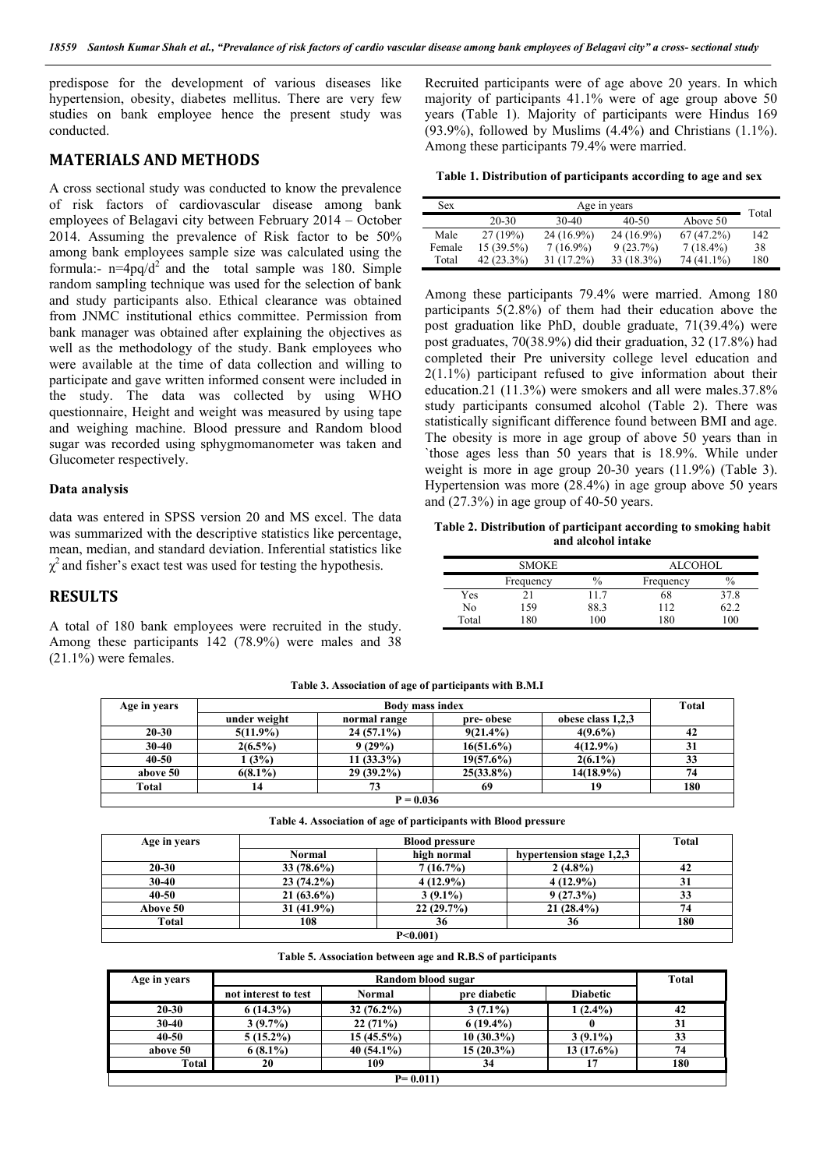predispose for the development of various diseases like hypertension, obesity, diabetes mellitus. There are very few studies on bank employee hence the present study was conducted.

### **MATERIALS AND METHODS**

A cross sectional study was conducted to know the prevalence of risk factors of cardiovascular disease among bank employees of Belagavi city between February 2014 – October 2014. Assuming the prevalence of Risk factor to be 50% among bank employees sample size was calculated using the formula:-  $n=4pq/d^2$  and the total sample was 180. Simple random sampling technique was used for the selection of bank and study participants also. Ethical clearance was obtained from JNMC institutional ethics committee. Permission from bank manager was obtained after explaining the objectives as well as the methodology of the study. Bank employees who were available at the time of data collection and willing to participate and gave written informed consent were included in the study. The data was collected by using WHO questionnaire, Height and weight was measured by using tape and weighing machine. Blood pressure and Random blood sugar was recorded using sphygmomanometer was taken and Glucometer respectively.

#### **Data analysis**

data was entered in SPSS version 20 and MS excel. The data was summarized with the descriptive statistics like percentage, mean, median, and standard deviation. Inferential statistics like  $\chi^2$  and fisher's exact test was used for testing the hypothesis.

### **RESULTS**

A total of 180 bank employees were recruited in the study. Among these participants 142 (78.9%) were males and 38  $(21.1\%)$  were females.

Recruited participants were of age above 20 years. In which majority of participants 41.1% were of age group above 50 years (Table 1). Majority of participants were Hindus 169  $(93.9\%)$ , followed by Muslims  $(4.4\%)$  and Christians  $(1.1\%)$ . Among these participants 79.4% were married.

**Table 1. Distribution of participants according to age and sex**

| <b>Sex</b> | Age in years |              |              |              | Total |
|------------|--------------|--------------|--------------|--------------|-------|
|            | 20-30        | 30-40        | 40-50        | Above 50     |       |
| Male       | 27(19%)      | $24(16.9\%)$ | $24(16.9\%)$ | $67(47.2\%)$ | 142   |
| Female     | $15(39.5\%)$ | $7(16.9\%)$  | $9(23.7\%)$  | $7(18.4\%)$  | 38    |
| Total      | $42(23.3\%)$ | 31 (17.2%)   | 33 (18.3%)   | 74 (41.1%)   | 180   |

Among these participants 79.4% were married. Among 180 participants 5(2.8%) of them had their education above the post graduation like PhD, double graduate, 71(39.4%) were post graduates, 70(38.9%) did their graduation, 32 (17.8%) had completed their Pre university college level education and 2(1.1%) participant refused to give information about their education.21 (11.3%) were smokers and all were males.37.8% study participants consumed alcohol (Table 2). There was statistically significant difference found between BMI and age. The obesity is more in age group of above 50 years than in `those ages less than 50 years that is 18.9%. While under weight is more in age group 20-30 years (11.9%) (Table 3). Hypertension was more (28.4%) in age group above 50 years and (27.3%) in age group of 40-50 years.

**Table 2. Distribution of participant according to smoking habit and alcohol intake**

|       | <b>SMOKE</b> |      | ALCOHOL   |               |  |
|-------|--------------|------|-----------|---------------|--|
|       | Frequency    | $\%$ | Frequency | $\frac{0}{0}$ |  |
| Yes   |              | 117  | 68        | 37.8          |  |
| No    | 159          | 88.3 | 112       | 62.2          |  |
| Total | 180          | 00   | 180.      | 100           |  |

| Table 3. Association of age of participants with B.M.I |  |  |  |
|--------------------------------------------------------|--|--|--|
|--------------------------------------------------------|--|--|--|

| Age in years | <b>Body mass index</b> |              |              |                   | Total |  |
|--------------|------------------------|--------------|--------------|-------------------|-------|--|
|              | under weight           | normal range | pre-obese    | obese class 1,2,3 |       |  |
| $20 - 30$    | $5(11.9\%)$            | $24(57.1\%)$ | $9(21.4\%)$  | $4(9.6\%)$        | 42    |  |
| $30 - 40$    | $2(6.5\%)$             | 9(29%)       | $16(51.6\%)$ | $4(12.9\%)$       | 31    |  |
| $40 - 50$    | (3%)                   | $11(33.3\%)$ | $19(57.6\%)$ | $2(6.1\%)$        | 33    |  |
| above 50     | $6(8.1\%)$             | $29(39.2\%)$ | $25(33.8\%)$ | $14(18.9\%)$      | 74    |  |
| Total        | 14                     | 73           | 69           | 19                | 180   |  |
| $P = 0.036$  |                        |              |              |                   |       |  |

**Table 4. Association of age of participants with Blood pressure**

| Age in years | <b>Blood pressure</b> |             |                          |     |
|--------------|-----------------------|-------------|--------------------------|-----|
|              | <b>Normal</b>         | high normal | hypertension stage 1,2,3 |     |
| $20 - 30$    | $33(78.6\%)$          | 7(16.7%)    | $2(4.8\%)$               | 42  |
| $30 - 40$    | $23(74.2\%)$          | $4(12.9\%)$ | $4(12.9\%)$              | 31  |
| $40 - 50$    | $21(63.6\%)$          | $3(9.1\%)$  | $9(27.3\%)$              | 33  |
| Above 50     | $31(41.9\%)$          | 22(29.7%)   | $21(28.4\%)$             | 74  |
| Total        | 108                   | 36          | 36                       | 180 |
|              |                       | P<0.001     |                          |     |

**Table 5. Association between age and R.B.S of participants**

| Age in years | Random blood sugar   |               |              |                 | <b>Total</b> |  |
|--------------|----------------------|---------------|--------------|-----------------|--------------|--|
|              | not interest to test | <b>Normal</b> | pre diabetic | <b>Diabetic</b> |              |  |
| $20 - 30$    | $6(14.3\%)$          | $32(76.2\%)$  | $3(7.1\%)$   | $1(2.4\%)$      | 42           |  |
| $30-40$      | $3(9.7\%)$           | 22(71%)       | $6(19.4\%)$  |                 | 31           |  |
| $40 - 50$    | $5(15.2\%)$          | $15(45.5\%)$  | $10(30.3\%)$ | $3(9.1\%)$      | 33           |  |
| above 50     | $6(8.1\%)$           | $40(54.1\%)$  | $15(20.3\%)$ | $13(17.6\%)$    | 74           |  |
| Total        | 20                   | 109           | 34           |                 | 180          |  |
| $P = 0.011$  |                      |               |              |                 |              |  |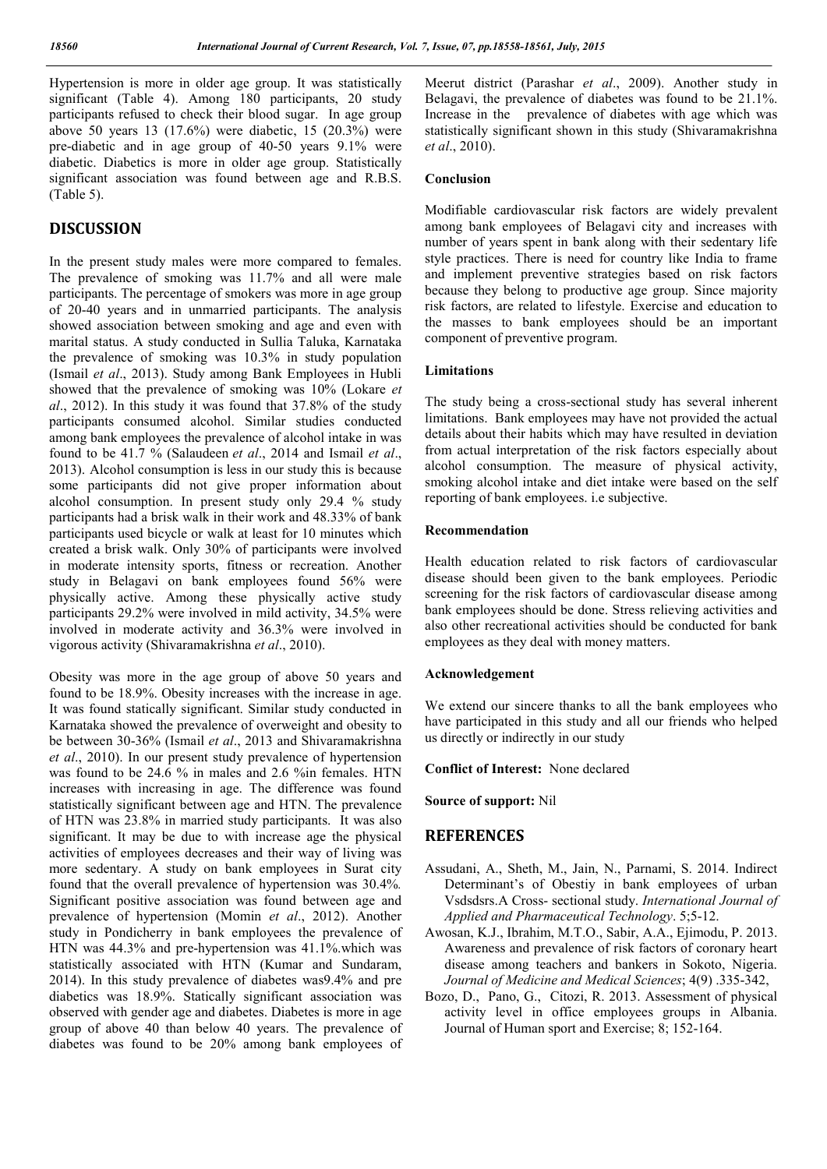Hypertension is more in older age group. It was statistically significant (Table 4). Among 180 participants, 20 study participants refused to check their blood sugar. In age group above 50 years 13 (17.6%) were diabetic, 15 (20.3%) were pre-diabetic and in age group of 40-50 years 9.1% were diabetic. Diabetics is more in older age group. Statistically significant association was found between age and R.B.S. (Table 5).

### **DISCUSSION**

In the present study males were more compared to females. The prevalence of smoking was 11.7% and all were male participants. The percentage of smokers was more in age group of 20-40 years and in unmarried participants. The analysis showed association between smoking and age and even with marital status. A study conducted in Sullia Taluka, Karnataka the prevalence of smoking was 10.3% in study population (Ismail *et al*., 2013). Study among Bank Employees in Hubli showed that the prevalence of smoking was 10% (Lokare *et al*., 2012). In this study it was found that 37.8% of the study participants consumed alcohol. Similar studies conducted among bank employees the prevalence of alcohol intake in was found to be 41.7 % (Salaudeen *et al*., 2014 and Ismail *et al*., 2013). Alcohol consumption is less in our study this is because some participants did not give proper information about alcohol consumption. In present study only 29.4 % study participants had a brisk walk in their work and 48.33% of bank participants used bicycle or walk at least for 10 minutes which created a brisk walk. Only 30% of participants were involved in moderate intensity sports, fitness or recreation. Another study in Belagavi on bank employees found 56% were physically active. Among these physically active study participants 29.2% were involved in mild activity, 34.5% were involved in moderate activity and 36.3% were involved in vigorous activity (Shivaramakrishna *et al*., 2010).

Obesity was more in the age group of above 50 years and found to be 18.9%. Obesity increases with the increase in age. It was found statically significant. Similar study conducted in Karnataka showed the prevalence of overweight and obesity to be between 30-36% (Ismail *et al*., 2013 and Shivaramakrishna *et al*., 2010). In our present study prevalence of hypertension was found to be 24.6 % in males and 2.6 %in females. HTN increases with increasing in age. The difference was found statistically significant between age and HTN. The prevalence of HTN was 23.8% in married study participants. It was also significant. It may be due to with increase age the physical activities of employees decreases and their way of living was more sedentary. A study on bank employees in Surat city found that the overall prevalence of hypertension was 30.4%*.*  Significant positive association was found between age and prevalence of hypertension (Momin *et al*., 2012). Another study in Pondicherry in bank employees the prevalence of HTN was 44.3% and pre-hypertension was 41.1%.which was statistically associated with HTN (Kumar and Sundaram, 2014). In this study prevalence of diabetes was9.4% and pre diabetics was 18.9%. Statically significant association was observed with gender age and diabetes. Diabetes is more in age group of above 40 than below 40 years. The prevalence of diabetes was found to be 20% among bank employees of Meerut district (Parashar *et al*., 2009). Another study in Belagavi, the prevalence of diabetes was found to be 21.1%. Increase in the prevalence of diabetes with age which was statistically significant shown in this study (Shivaramakrishna *et al*., 2010).

#### **Conclusion**

Modifiable cardiovascular risk factors are widely prevalent among bank employees of Belagavi city and increases with number of years spent in bank along with their sedentary life style practices. There is need for country like India to frame and implement preventive strategies based on risk factors because they belong to productive age group. Since majority risk factors, are related to lifestyle. Exercise and education to the masses to bank employees should be an important component of preventive program.

#### **Limitations**

The study being a cross-sectional study has several inherent limitations. Bank employees may have not provided the actual details about their habits which may have resulted in deviation from actual interpretation of the risk factors especially about alcohol consumption. The measure of physical activity, smoking alcohol intake and diet intake were based on the self reporting of bank employees. i.e subjective.

#### **Recommendation**

Health education related to risk factors of cardiovascular disease should been given to the bank employees. Periodic screening for the risk factors of cardiovascular disease among bank employees should be done. Stress relieving activities and also other recreational activities should be conducted for bank employees as they deal with money matters.

### **Acknowledgement**

We extend our sincere thanks to all the bank employees who have participated in this study and all our friends who helped us directly or indirectly in our study

#### **Conflict of Interest:** None declared

**Source of support:** Nil

### **REFERENCES**

- Assudani, A., Sheth, M., Jain, N., Parnami, S. 2014. Indirect Determinant's of Obestiy in bank employees of urban Vsdsdsrs.A Cross- sectional study. *International Journal of Applied and Pharmaceutical Technology*. 5;5-12.
- Awosan, K.J., Ibrahim, M.T.O., Sabir, A.A., Ejimodu, P. 2013. Awareness and prevalence of risk factors of coronary heart disease among teachers and bankers in Sokoto, Nigeria. *Journal of Medicine and Medical Sciences*; 4(9) .335-342,
- Bozo, D., Pano, G., Citozi, R. 2013. Assessment of physical activity level in office employees groups in Albania. Journal of Human sport and Exercise; 8; 152-164.